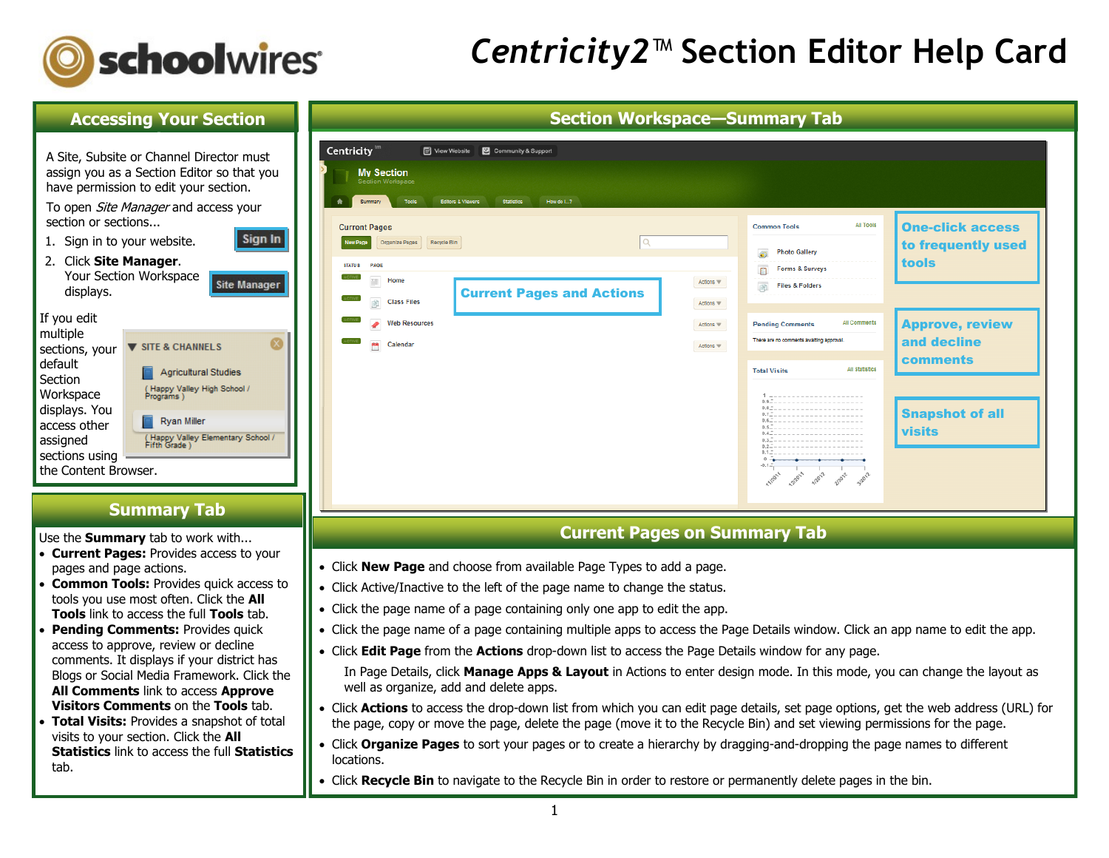

## *Centricity2*™ **Section Editor Help Card**

### **Accessing Your Section Workspace**

Sign I

A Site, Subsite or Channel Director must assign you as a Section Editor so that you have permission to edit your section.

To open *Site Manager* and access your section or sections...

- 1. Sign in to your website.
- 2. Click **Site Manager**. Your Section Workspace **Site Manage** displays.

| If you edit    |                                          |
|----------------|------------------------------------------|
| multiple       |                                          |
| sections, your | <b>V SITE &amp; CHANNELS</b>             |
| default        |                                          |
| Section        | <b>Agricultural Studies</b>              |
| Workspace      | (Happy Valley High School /<br>Programs) |
| displays. You  |                                          |
| nggaga athau   | Rvan Miller                              |

## **Summary Tab**

(Happy Valley Elementary School

Use the **Summary** tab to work with...

access other assigned sections using  $\overline{ }$ the Content Browser.

- **Current Pages:** Provides access to your pages and page actions.
- **Common Tools:** Provides quick access to tools you use most often. Click the **All Tools** link to access the full **Tools** tab.
- **Pending Comments: Provides quick** access to approve, review or decline comments. It displays if your district has Blogs or Social Media Framework. Click the **All Comments** link to access **Approve Visitors Comments** on the **Tools** tab.
- **Total Visits:** Provides a snapshot of total visits to your section. Click the **All Statistics** link to access the full **Statistics** tab.

| <b>Section Workspace-Summary Tab</b><br>Centricity <sup>tm</sup><br>View Website <b>3</b> Community & Support     |                        |                                                                                                               |                                               |
|-------------------------------------------------------------------------------------------------------------------|------------------------|---------------------------------------------------------------------------------------------------------------|-----------------------------------------------|
| <b>My Section</b><br>Section Workspace<br>Tools<br>Editors & Viewers<br><b>Statistics</b><br>How do I?<br>Summary |                        |                                                                                                               |                                               |
| <b>Current Pages</b><br>Organize Pages Recycle Bin<br>Q<br>New Page                                               |                        | <b>All Tools</b><br><b>Common Tools</b>                                                                       | <b>One-click access</b><br>to frequently used |
| <b>STATUS</b><br>PAGE<br><b>CTIVE</b><br><b>COL</b><br>Home<br><b>Current Pages and Actions</b>                   | Actions \              | <b>Photo Gallery</b><br>Forms & Surveys<br>商<br><b>Files &amp; Folders</b>                                    | tools                                         |
| <b>Class Files</b><br><b>Web Resources</b><br><b>LCTIVE</b><br>Calendar                                           | Actions \<br>Actions w | All Comments<br><b>Pending Comments</b><br>There are no comments awaiting approval.                           | <b>Approve, review</b><br>and decline         |
|                                                                                                                   | Actions w              | <b>All Statistics</b><br><b>Total Visits</b>                                                                  | <b>comments</b>                               |
|                                                                                                                   |                        | 1<br>0.6<br>$0.4 - - - - - - - - - - - - - - - - - - -$<br>$0.2 - - - - - - - - - - - - - - - - - -$<br>$0 -$ | <b>Snapshot of all</b><br><b>visits</b>       |

### **Current Pages on Summary Tab**

- Click **New Page** and choose from available Page Types to add a page.
- Click Active/Inactive to the left of the page name to change the status.
- Click the page name of a page containing only one app to edit the app.
- Click the page name of a page containing multiple apps to access the Page Details window. Click an app name to edit the app.
- Click **Edit Page** from the **Actions** drop-down list to access the Page Details window for any page.

In Page Details, click **Manage Apps & Layout** in Actions to enter design mode. In this mode, you can change the layout as well as organize, add and delete apps.

- Click **Actions** to access the drop-down list from which you can edit page details, set page options, get the web address (URL) for the page, copy or move the page, delete the page (move it to the Recycle Bin) and set viewing permissions for the page.
- Click **Organize Pages** to sort your pages or to create a hierarchy by dragging-and-dropping the page names to different locations.
- Click **Recycle Bin** to navigate to the Recycle Bin in order to restore or permanently delete pages in the bin.